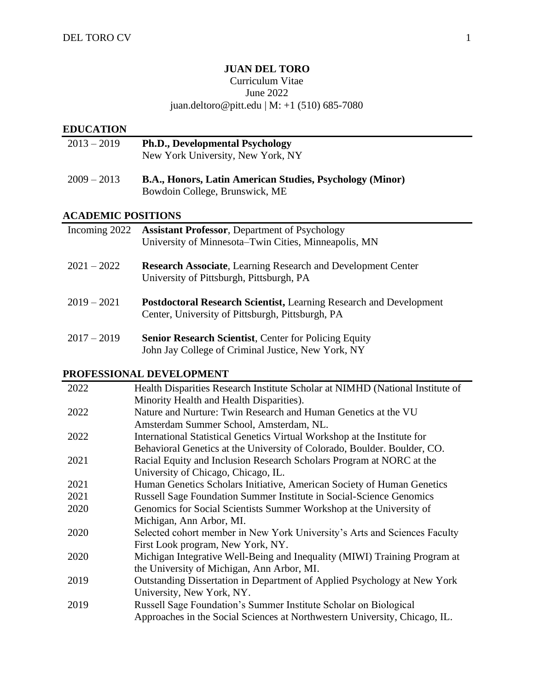# **JUAN DEL TORO**

#### Curriculum Vitae June 2022

## juan.deltoro@pitt.edu | M: +1 (510) 685-7080

## **EDUCATION**

| $2013 - 2019$ | <b>Ph.D., Developmental Psychology</b> |
|---------------|----------------------------------------|
|               | New York University, New York, NY      |
|               |                                        |

# 2009 – 2013 **B.A., Honors, Latin American Studies, Psychology (Minor)** Bowdoin College, Brunswick, ME

## **ACADEMIC POSITIONS**

| Incoming 2022 | <b>Assistant Professor, Department of Psychology</b>                                                                          |
|---------------|-------------------------------------------------------------------------------------------------------------------------------|
|               | University of Minnesota–Twin Cities, Minneapolis, MN                                                                          |
| $2021 - 2022$ | <b>Research Associate, Learning Research and Development Center</b><br>University of Pittsburgh, Pittsburgh, PA               |
| $2019 - 2021$ | <b>Postdoctoral Research Scientist, Learning Research and Development</b><br>Center, University of Pittsburgh, Pittsburgh, PA |
| $2017 - 2019$ | <b>Senior Research Scientist, Center for Policing Equity</b>                                                                  |

# John Jay College of Criminal Justice, New York, NY

# **PROFESSIONAL DEVELOPMENT**

| 2022 | Health Disparities Research Institute Scholar at NIMHD (National Institute of |
|------|-------------------------------------------------------------------------------|
|      | Minority Health and Health Disparities).                                      |
| 2022 | Nature and Nurture: Twin Research and Human Genetics at the VU                |
|      | Amsterdam Summer School, Amsterdam, NL.                                       |
| 2022 | International Statistical Genetics Virtual Workshop at the Institute for      |
|      | Behavioral Genetics at the University of Colorado, Boulder. Boulder, CO.      |
| 2021 | Racial Equity and Inclusion Research Scholars Program at NORC at the          |
|      | University of Chicago, Chicago, IL.                                           |
| 2021 | Human Genetics Scholars Initiative, American Society of Human Genetics        |
| 2021 | Russell Sage Foundation Summer Institute in Social-Science Genomics           |
| 2020 | Genomics for Social Scientists Summer Workshop at the University of           |
|      | Michigan, Ann Arbor, MI.                                                      |
| 2020 | Selected cohort member in New York University's Arts and Sciences Faculty     |
|      | First Look program, New York, NY.                                             |
| 2020 | Michigan Integrative Well-Being and Inequality (MIWI) Training Program at     |
|      | the University of Michigan, Ann Arbor, MI.                                    |
| 2019 | Outstanding Dissertation in Department of Applied Psychology at New York      |
|      | University, New York, NY.                                                     |
| 2019 | Russell Sage Foundation's Summer Institute Scholar on Biological              |
|      | Approaches in the Social Sciences at Northwestern University, Chicago, IL.    |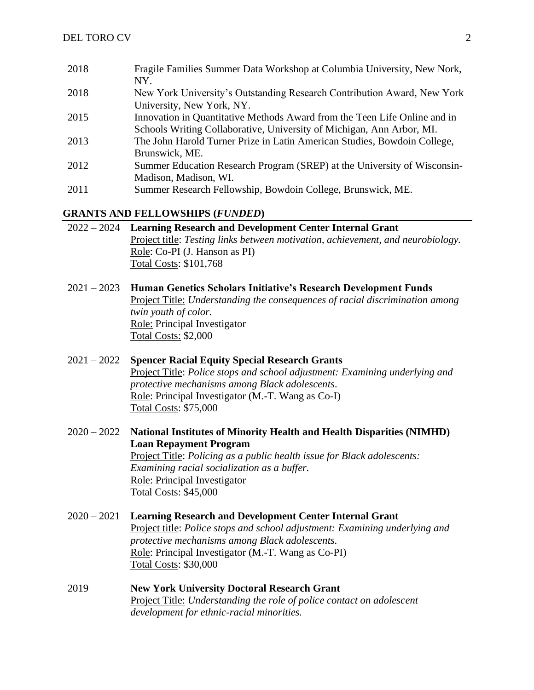| 2018 | Fragile Families Summer Data Workshop at Columbia University, New Nork,   |
|------|---------------------------------------------------------------------------|
|      | NY.                                                                       |
| 2018 | New York University's Outstanding Research Contribution Award, New York   |
|      | University, New York, NY.                                                 |
| 2015 | Innovation in Quantitative Methods Award from the Teen Life Online and in |
|      | Schools Writing Collaborative, University of Michigan, Ann Arbor, MI.     |
| 2013 | The John Harold Turner Prize in Latin American Studies, Bowdoin College,  |
|      | Brunswick, ME.                                                            |
| 2012 | Summer Education Research Program (SREP) at the University of Wisconsin-  |
|      | Madison, Madison, WI.                                                     |
| 2011 | Summer Research Fellowship, Bowdoin College, Brunswick, ME.               |

#### **GRANTS AND FELLOWSHIPS (***FUNDED***)**

| 2022 – 2024 Learning Research and Development Center Internal Grant             |
|---------------------------------------------------------------------------------|
| Project title: Testing links between motivation, achievement, and neurobiology. |
| Role: Co-PI (J. Hanson as PI)                                                   |
| Total Costs: \$101,768                                                          |

2021 – 2023 **Human Genetics Scholars Initiative's Research Development Funds**  Project Title: *Understanding the consequences of racial discrimination among twin youth of color.* Role: Principal Investigator Total Costs: \$2,000

## 2021 – 2022 **Spencer Racial Equity Special Research Grants**  Project Title: *Police stops and school adjustment: Examining underlying and protective mechanisms among Black adolescents.* Role: Principal Investigator (M.-T. Wang as Co-I) Total Costs: \$75,000

- 2020 2022 **National Institutes of Minority Health and Health Disparities (NIMHD) Loan Repayment Program**  Project Title: *Policing as a public health issue for Black adolescents: Examining racial socialization as a buffer.* Role: Principal Investigator Total Costs: \$45,000
- 2020 2021 **Learning Research and Development Center Internal Grant** Project title: *Police stops and school adjustment: Examining underlying and protective mechanisms among Black adolescents.* Role: Principal Investigator (M.-T. Wang as Co-PI) Total Costs: \$30,000
- 2019 **New York University Doctoral Research Grant**  Project Title: *Understanding the role of police contact on adolescent development for ethnic-racial minorities.*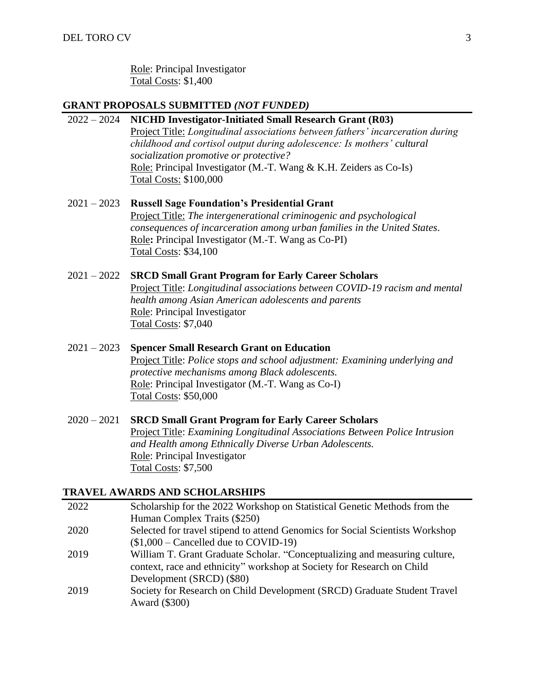Role: Principal Investigator Total Costs: \$1,400

#### **GRANT PROPOSALS SUBMITTED** *(NOT FUNDED)*

#### 2022 – 2024 **NICHD Investigator-Initiated Small Research Grant (R03)**

Project Title: *Longitudinal associations between fathers' incarceration during childhood and cortisol output during adolescence: Is mothers' cultural socialization promotive or protective?* Role: Principal Investigator (M.-T. Wang & K.H. Zeiders as Co-Is) Total Costs: \$100,000

## 2021 – 2023 **Russell Sage Foundation's Presidential Grant** Project Title: *The intergenerational criminogenic and psychological consequences of incarceration among urban families in the United States.* Role**:** Principal Investigator (M.-T. Wang as Co-PI) Total Costs: \$34,100

#### 2021 – 2022 **SRCD Small Grant Program for Early Career Scholars**

Project Title: *Longitudinal associations between COVID-19 racism and mental health among Asian American adolescents and parents* Role: Principal Investigator Total Costs: \$7,040

# 2021 – 2023 **Spencer Small Research Grant on Education**

Project Title: *Police stops and school adjustment: Examining underlying and protective mechanisms among Black adolescents.* Role: Principal Investigator (M.-T. Wang as Co-I) Total Costs: \$50,000

## 2020 – 2021 **SRCD Small Grant Program for Early Career Scholars** Project Title: *Examining Longitudinal Associations Between Police Intrusion and Health among Ethnically Diverse Urban Adolescents.* Role: Principal Investigator Total Costs: \$7,500

#### **TRAVEL AWARDS AND SCHOLARSHIPS**

| 2022 | Scholarship for the 2022 Workshop on Statistical Genetic Methods from the     |
|------|-------------------------------------------------------------------------------|
|      | Human Complex Traits (\$250)                                                  |
| 2020 | Selected for travel stipend to attend Genomics for Social Scientists Workshop |
|      | $($1,000 - Cancelled due to COVID-19)$                                        |
| 2019 | William T. Grant Graduate Scholar. "Conceptualizing and measuring culture,    |
|      | context, race and ethnicity" workshop at Society for Research on Child        |
|      | Development (SRCD) (\$80)                                                     |
| 2019 | Society for Research on Child Development (SRCD) Graduate Student Travel      |
|      | Award (\$300)                                                                 |
|      |                                                                               |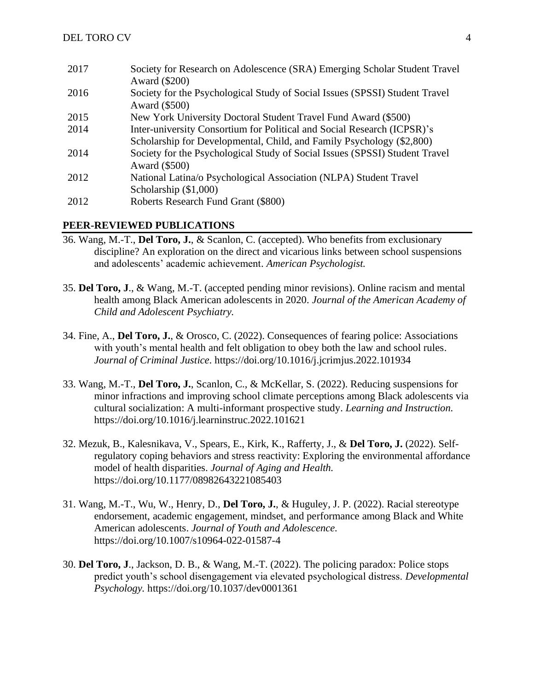| 2017 | Society for Research on Adolescence (SRA) Emerging Scholar Student Travel<br>Award (\$200)   |
|------|----------------------------------------------------------------------------------------------|
| 2016 | Society for the Psychological Study of Social Issues (SPSSI) Student Travel<br>Award (\$500) |
| 2015 | New York University Doctoral Student Travel Fund Award (\$500)                               |
| 2014 | Inter-university Consortium for Political and Social Research (ICPSR)'s                      |
|      | Scholarship for Developmental, Child, and Family Psychology (\$2,800)                        |
| 2014 | Society for the Psychological Study of Social Issues (SPSSI) Student Travel<br>Award (\$500) |
| 2012 | National Latina/o Psychological Association (NLPA) Student Travel                            |
|      | Scholarship $(\$1,000)$                                                                      |
| 2012 | Roberts Research Fund Grant (\$800)                                                          |

# **PEER-REVIEWED PUBLICATIONS**

- 36. Wang, M.-T., **Del Toro, J.**, & Scanlon, C. (accepted). Who benefits from exclusionary discipline? An exploration on the direct and vicarious links between school suspensions and adolescents' academic achievement. *American Psychologist.*
- 35. **Del Toro, J**., & Wang, M.-T. (accepted pending minor revisions). Online racism and mental health among Black American adolescents in 2020. *Journal of the American Academy of Child and Adolescent Psychiatry.*
- 34. Fine, A., **Del Toro, J.**, & Orosco, C. (2022). Consequences of fearing police: Associations with youth's mental health and felt obligation to obey both the law and school rules. *Journal of Criminal Justice*. <https://doi.org/10.1016/j.jcrimjus.2022.101934>
- 33. Wang, M.-T., **Del Toro, J.**, Scanlon, C., & McKellar, S. (2022). Reducing suspensions for minor infractions and improving school climate perceptions among Black adolescents via cultural socialization: A multi-informant prospective study. *Learning and Instruction.* https://doi.org/10.1016/j.learninstruc.2022.101621
- 32. Mezuk, B., Kalesnikava, V., Spears, E., Kirk, K., Rafferty, J., & **Del Toro, J.** (2022). Selfregulatory coping behaviors and stress reactivity: Exploring the environmental affordance model of health disparities. *Journal of Aging and Health.* https://doi.org/10.1177/08982643221085403
- 31. Wang, M.-T., Wu, W., Henry, D., **Del Toro, J.**, & Huguley, J. P. (2022). Racial stereotype endorsement, academic engagement, mindset, and performance among Black and White American adolescents. *Journal of Youth and Adolescence.* https://doi.org/10.1007/s10964-022-01587-4
- 30. **Del Toro, J**., Jackson, D. B., & Wang, M.-T. (2022). The policing paradox: Police stops predict youth's school disengagement via elevated psychological distress. *Developmental Psychology.* https://doi.org/10.1037/dev0001361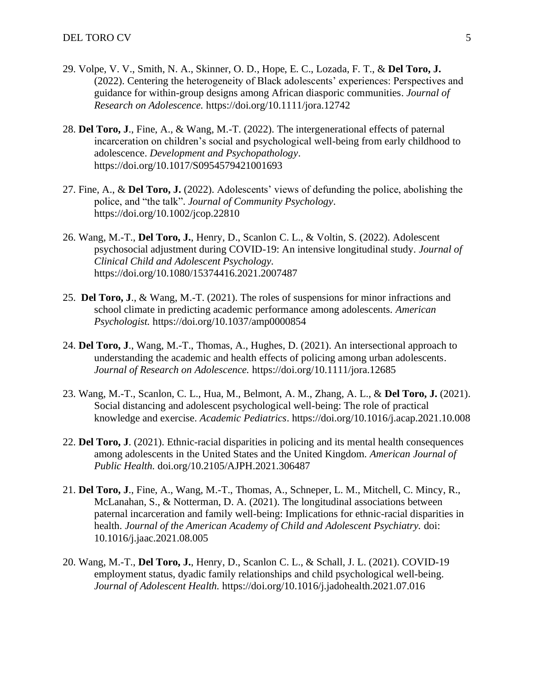- 29. Volpe, V. V., Smith, N. A., Skinner, O. D., Hope, E. C., Lozada, F. T., & **Del Toro, J.** (2022). Centering the heterogeneity of Black adolescents' experiences: Perspectives and guidance for within-group designs among African diasporic communities. *Journal of Research on Adolescence.* https://doi.org/10.1111/jora.12742
- 28. **Del Toro, J**., Fine, A., & Wang, M.-T. (2022). The intergenerational effects of paternal incarceration on children's social and psychological well-being from early childhood to adolescence. *Development and Psychopathology*. https://doi.org/10.1017/S0954579421001693
- 27. Fine, A., & **Del Toro, J.** (2022). Adolescents' views of defunding the police, abolishing the police, and "the talk". *Journal of Community Psychology*. https://doi.org/10.1002/jcop.22810
- 26. Wang, M.-T., **Del Toro, J.**, Henry, D., Scanlon C. L., & Voltin, S. (2022). Adolescent psychosocial adjustment during COVID-19: An intensive longitudinal study. *Journal of Clinical Child and Adolescent Psychology.*  https://doi.org/10.1080/15374416.2021.2007487
- 25. **Del Toro, J**., & Wang, M.-T. (2021). The roles of suspensions for minor infractions and school climate in predicting academic performance among adolescents. *American Psychologist.* https://doi.org/10.1037/amp0000854
- 24. **Del Toro, J**., Wang, M.-T., Thomas, A., Hughes, D. (2021). An intersectional approach to understanding the academic and health effects of policing among urban adolescents. *Journal of Research on Adolescence.* https://doi.org/10.1111/jora.12685
- 23. Wang, M.-T., Scanlon, C. L., Hua, M., Belmont, A. M., Zhang, A. L., & **Del Toro, J.** (2021). Social distancing and adolescent psychological well-being: The role of practical knowledge and exercise. *Academic Pediatrics*. https://doi.org/10.1016/j.acap.2021.10.008
- 22. **Del Toro, J**. (2021). Ethnic-racial disparities in policing and its mental health consequences among adolescents in the United States and the United Kingdom. *American Journal of Public Health.* doi.org/10.2105/AJPH.2021.306487
- 21. **Del Toro, J**., Fine, A., Wang, M.-T., Thomas, A., Schneper, L. M., Mitchell, C. Mincy, R., McLanahan, S., & Notterman, D. A. (2021). The longitudinal associations between paternal incarceration and family well-being: Implications for ethnic-racial disparities in health. *Journal of the American Academy of Child and Adolescent Psychiatry.* doi: 10.1016/j.jaac.2021.08.005
- 20. Wang, M.-T., **Del Toro, J.**, Henry, D., Scanlon C. L., & Schall, J. L. (2021). COVID-19 employment status, dyadic family relationships and child psychological well-being. *Journal of Adolescent Health.* https://doi.org/10.1016/j.jadohealth.2021.07.016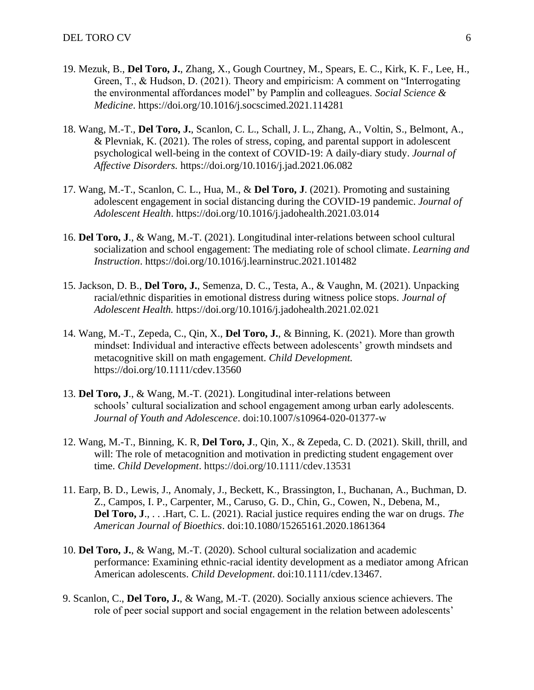- 19. Mezuk, B., **Del Toro, J.**, Zhang, X., Gough Courtney, M., Spears, E. C., Kirk, K. F., Lee, H., Green, T., & Hudson, D. (2021). Theory and empiricism: A comment on "Interrogating the environmental affordances model" by Pamplin and colleagues. *Social Science & Medicine*. https://doi.org/10.1016/j.socscimed.2021.114281
- 18. Wang, M.-T., **Del Toro, J.**, Scanlon, C. L., Schall, J. L., Zhang, A., Voltin, S., Belmont, A., & Plevniak, K. (2021). The roles of stress, coping, and parental support in adolescent psychological well-being in the context of COVID-19: A daily-diary study. *Journal of Affective Disorders.* <https://doi.org/10.1016/j.jad.2021.06.082>
- 17. Wang, M.-T., Scanlon, C. L., Hua, M., & **Del Toro, J**. (2021). Promoting and sustaining adolescent engagement in social distancing during the COVID-19 pandemic. *Journal of Adolescent Health*. https://doi.org/10.1016/j.jadohealth.2021.03.014
- 16. **Del Toro, J**., & Wang, M.-T. (2021). Longitudinal inter-relations between school cultural socialization and school engagement: The mediating role of school climate. *Learning and Instruction*. https://doi.org/10.1016/j.learninstruc.2021.101482
- 15. Jackson, D. B., **Del Toro, J.**, Semenza, D. C., Testa, A., & Vaughn, M. (2021). Unpacking racial/ethnic disparities in emotional distress during witness police stops. *Journal of Adolescent Health.* https://doi.org/10.1016/j.jadohealth.2021.02.021
- 14. Wang, M.-T., Zepeda, C., Qin, X., **Del Toro, J.**, & Binning, K. (2021). More than growth mindset: Individual and interactive effects between adolescents' growth mindsets and metacognitive skill on math engagement. *Child Development.* https://doi.org/10.1111/cdev.13560
- 13. **Del Toro, J**., & Wang, M.-T. (2021). Longitudinal inter-relations between schools' cultural socialization and school engagement among urban early adolescents. *Journal of Youth and Adolescence*. doi:10.1007/s10964-020-01377-w
- 12. Wang, M.-T., Binning, K. R, **Del Toro, J**., Qin, X., & Zepeda, C. D. (2021). Skill, thrill, and will: The role of metacognition and motivation in predicting student engagement over time. *Child Development*. https://doi.org/10.1111/cdev.13531
- 11. Earp, B. D., Lewis, J., Anomaly, J., Beckett, K., Brassington, I., Buchanan, A., Buchman, D. Z., Campos, I. P., Carpenter, M., Caruso, G. D., Chin, G., Cowen, N., Debena, M., **Del Toro, J**., . . .Hart, C. L. (2021). Racial justice requires ending the war on drugs. *The American Journal of Bioethics*. doi:10.1080/15265161.2020.1861364
- 10. **Del Toro, J.**, & Wang, M.-T. (2020). School cultural socialization and academic performance: Examining ethnic-racial identity development as a mediator among African American adolescents. *Child Development*. doi:10.1111/cdev.13467.
- 9. Scanlon, C., **Del Toro, J.**, & Wang, M.-T. (2020). Socially anxious science achievers. The role of peer social support and social engagement in the relation between adolescents'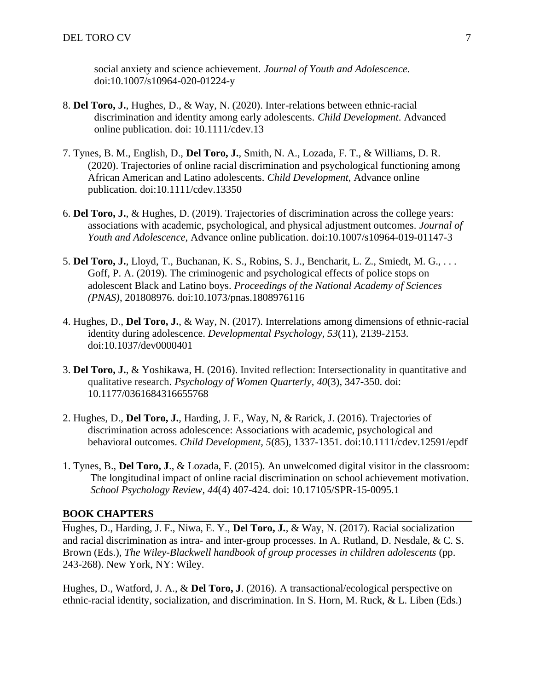social anxiety and science achievement. *Journal of Youth and Adolescence*. doi:10.1007/s10964-020-01224-y

- 8. **Del Toro, J.**, Hughes, D., & Way, N. (2020). Inter-relations between ethnic-racial discrimination and identity among early adolescents. *Child Development*. Advanced online publication. doi: 10.1111/cdev.13
- 7. Tynes, B. M., English, D., **Del Toro, J.**, Smith, N. A., Lozada, F. T., & Williams, D. R. (2020). Trajectories of online racial discrimination and psychological functioning among African American and Latino adolescents. *Child Development*, Advance online publication. doi:10.1111/cdev.13350
- 6. **Del Toro, J.**, & Hughes, D. (2019). Trajectories of discrimination across the college years: associations with academic, psychological, and physical adjustment outcomes. *Journal of Youth and Adolescence*, Advance online publication. doi:10.1007/s10964-019-01147-3
- 5. **Del Toro, J.**, Lloyd, T., Buchanan, K. S., Robins, S. J., Bencharit, L. Z., Smiedt, M. G., . . . Goff, P. A. (2019). The criminogenic and psychological effects of police stops on adolescent Black and Latino boys. *Proceedings of the National Academy of Sciences (PNAS)*, 201808976. doi:10.1073/pnas.1808976116
- 4. Hughes, D., **Del Toro, J.**, & Way, N. (2017). Interrelations among dimensions of ethnic-racial identity during adolescence. *Developmental Psychology, 53*(11), 2139-2153. doi:10.1037/dev0000401
- 3. **Del Toro, J.**, & Yoshikawa, H. (2016). Invited reflection: Intersectionality in quantitative and qualitative research. *Psychology of Women Quarterly*, *40*(3), 347-350. doi: 10.1177/0361684316655768
- 2. Hughes, D., **Del Toro, J.**, Harding, J. F., Way, N, & Rarick, J. (2016). Trajectories of discrimination across adolescence: Associations with academic, psychological and behavioral outcomes. *Child Development, 5*(85), 1337-1351. doi:10.1111/cdev.12591/epdf
- 1. Tynes, B., **Del Toro, J**., & Lozada, F. (2015). An unwelcomed digital visitor in the classroom: The longitudinal impact of online racial discrimination on school achievement motivation. *School Psychology Review, 44*(4) 407-424. doi: 10.17105/SPR-15-0095.1

#### **BOOK CHAPTERS**

Hughes, D., Harding, J. F., Niwa, E. Y., **Del Toro, J.**, & Way, N. (2017). Racial socialization and racial discrimination as intra- and inter-group processes. In A. Rutland, D. Nesdale, & C. S. Brown (Eds.), *The Wiley-Blackwell handbook of group processes in children adolescents* (pp. 243-268). New York, NY: Wiley.

Hughes, D., Watford, J. A., & **Del Toro, J**. (2016). A transactional/ecological perspective on ethnic-racial identity, socialization, and discrimination. In S. Horn, M. Ruck, & L. Liben (Eds.)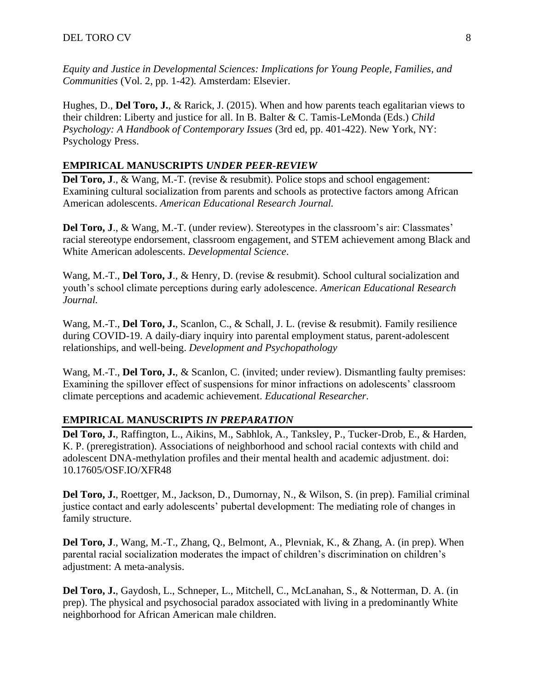*Equity and Justice in Developmental Sciences: Implications for Young People, Families, and Communities* (Vol. 2, pp. 1-42)*.* Amsterdam: Elsevier.

Hughes, D., **Del Toro, J.**, & Rarick, J. (2015). When and how parents teach egalitarian views to their children: Liberty and justice for all. In B. Balter & C. Tamis-LeMonda (Eds.) *Child Psychology: A Handbook of Contemporary Issues* (3rd ed, pp. 401-422). New York, NY: Psychology Press.

#### **EMPIRICAL MANUSCRIPTS** *UNDER PEER-REVIEW*

**Del Toro, J., & Wang, M.-T.** (revise & resubmit). Police stops and school engagement: Examining cultural socialization from parents and schools as protective factors among African American adolescents. *American Educational Research Journal.*

**Del Toro, J., & Wang, M.-T.** (under review). Stereotypes in the classroom's air: Classmates' racial stereotype endorsement, classroom engagement, and STEM achievement among Black and White American adolescents. *Developmental Science*.

Wang, M.-T., **Del Toro, J**., & Henry, D. (revise & resubmit). School cultural socialization and youth's school climate perceptions during early adolescence. *American Educational Research Journal.*

Wang, M.-T., **Del Toro, J.**, Scanlon, C., & Schall, J. L. (revise & resubmit). Family resilience during COVID-19. A daily-diary inquiry into parental employment status, parent-adolescent relationships, and well-being. *Development and Psychopathology*

Wang, M.-T., **Del Toro, J.**, & Scanlon, C. (invited; under review). Dismantling faulty premises: Examining the spillover effect of suspensions for minor infractions on adolescents' classroom climate perceptions and academic achievement. *Educational Researcher.*

#### **EMPIRICAL MANUSCRIPTS** *IN PREPARATION*

**Del Toro, J.**, Raffington, L., Aikins, M., Sabhlok, A., Tanksley, P., Tucker-Drob, E., & Harden, K. P. (preregistration). Associations of neighborhood and school racial contexts with child and adolescent DNA-methylation profiles and their mental health and academic adjustment. doi: 10.17605/OSF.IO/XFR48

**Del Toro, J.**, Roettger, M., Jackson, D., Dumornay, N., & Wilson, S. (in prep). Familial criminal justice contact and early adolescents' pubertal development: The mediating role of changes in family structure.

**Del Toro, J**., Wang, M.-T., Zhang, Q., Belmont, A., Plevniak, K., & Zhang, A. (in prep). When parental racial socialization moderates the impact of children's discrimination on children's adjustment: A meta-analysis.

**Del Toro, J.**, Gaydosh, L., Schneper, L., Mitchell, C., McLanahan, S., & Notterman, D. A. (in prep). The physical and psychosocial paradox associated with living in a predominantly White neighborhood for African American male children.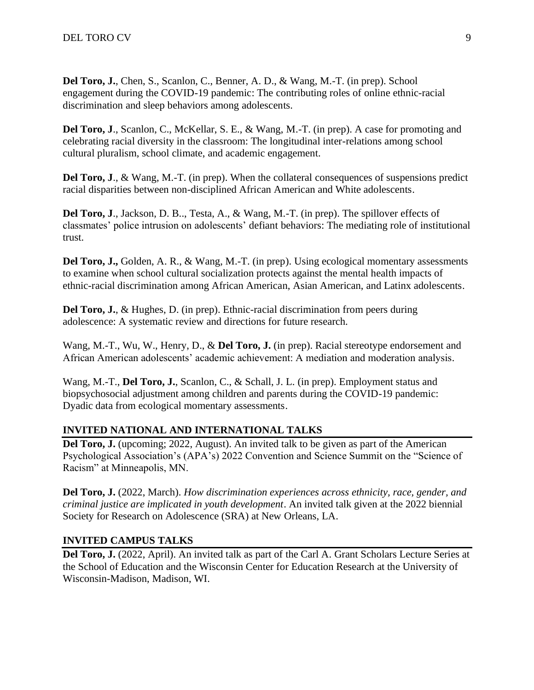**Del Toro, J.**, Chen, S., Scanlon, C., Benner, A. D., & Wang, M.-T. (in prep). School engagement during the COVID-19 pandemic: The contributing roles of online ethnic-racial discrimination and sleep behaviors among adolescents.

**Del Toro, J**., Scanlon, C., McKellar, S. E., & Wang, M.-T. (in prep). A case for promoting and celebrating racial diversity in the classroom: The longitudinal inter-relations among school cultural pluralism, school climate, and academic engagement.

**Del Toro, J**., & Wang, M.-T. (in prep). When the collateral consequences of suspensions predict racial disparities between non-disciplined African American and White adolescents.

**Del Toro, J**., Jackson, D. B.., Testa, A., & Wang, M.-T. (in prep). The spillover effects of classmates' police intrusion on adolescents' defiant behaviors: The mediating role of institutional trust.

**Del Toro, J.,** Golden, A. R., & Wang, M.-T. (in prep). Using ecological momentary assessments to examine when school cultural socialization protects against the mental health impacts of ethnic-racial discrimination among African American, Asian American, and Latinx adolescents.

**Del Toro, J.**, & Hughes, D. (in prep). Ethnic-racial discrimination from peers during adolescence: A systematic review and directions for future research.

Wang, M.-T., Wu, W., Henry, D., & **Del Toro, J.** (in prep). Racial stereotype endorsement and African American adolescents' academic achievement: A mediation and moderation analysis*.*

Wang, M.-T., **Del Toro, J.**, Scanlon, C., & Schall, J. L. (in prep). Employment status and biopsychosocial adjustment among children and parents during the COVID-19 pandemic: Dyadic data from ecological momentary assessments.

## **INVITED NATIONAL AND INTERNATIONAL TALKS**

Del Toro, J. (upcoming; 2022, August). An invited talk to be given as part of the American Psychological Association's (APA's) 2022 Convention and Science Summit on the "Science of Racism" at Minneapolis, MN.

**Del Toro, J.** (2022, March). *How discrimination experiences across ethnicity, race, gender, and criminal justice are implicated in youth development*. An invited talk given at the 2022 biennial Society for Research on Adolescence (SRA) at New Orleans, LA.

## **INVITED CAMPUS TALKS**

**Del Toro, J.** (2022, April). An invited talk as part of the Carl A. Grant Scholars Lecture Series at the School of Education and the Wisconsin Center for Education Research at the University of Wisconsin-Madison, Madison, WI.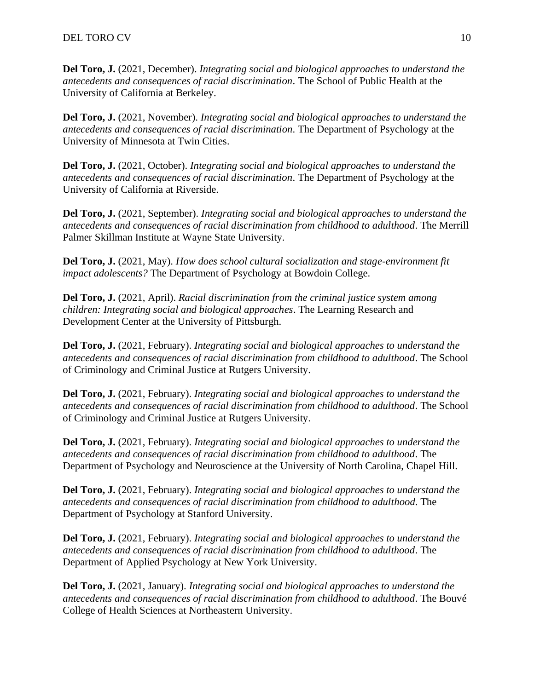**Del Toro, J.** (2021, December). *Integrating social and biological approaches to understand the antecedents and consequences of racial discrimination*. The School of Public Health at the University of California at Berkeley.

**Del Toro, J.** (2021, November). *Integrating social and biological approaches to understand the antecedents and consequences of racial discrimination*. The Department of Psychology at the University of Minnesota at Twin Cities.

**Del Toro, J.** (2021, October). *Integrating social and biological approaches to understand the antecedents and consequences of racial discrimination*. The Department of Psychology at the University of California at Riverside.

**Del Toro, J.** (2021, September). *Integrating social and biological approaches to understand the antecedents and consequences of racial discrimination from childhood to adulthood*. The Merrill Palmer Skillman Institute at Wayne State University.

**Del Toro, J.** (2021, May). *How does school cultural socialization and stage-environment fit impact adolescents?* The Department of Psychology at Bowdoin College.

**Del Toro, J.** (2021, April). *Racial discrimination from the criminal justice system among children: Integrating social and biological approaches*. The Learning Research and Development Center at the University of Pittsburgh.

**Del Toro, J.** (2021, February). *Integrating social and biological approaches to understand the antecedents and consequences of racial discrimination from childhood to adulthood*. The School of Criminology and Criminal Justice at Rutgers University.

**Del Toro, J.** (2021, February). *Integrating social and biological approaches to understand the antecedents and consequences of racial discrimination from childhood to adulthood*. The School of Criminology and Criminal Justice at Rutgers University.

**Del Toro, J.** (2021, February). *Integrating social and biological approaches to understand the antecedents and consequences of racial discrimination from childhood to adulthood*. The Department of Psychology and Neuroscience at the University of North Carolina, Chapel Hill.

**Del Toro, J.** (2021, February). *Integrating social and biological approaches to understand the antecedents and consequences of racial discrimination from childhood to adulthood*. The Department of Psychology at Stanford University.

**Del Toro, J.** (2021, February). *Integrating social and biological approaches to understand the antecedents and consequences of racial discrimination from childhood to adulthood*. The Department of Applied Psychology at New York University.

**Del Toro, J.** (2021, January). *Integrating social and biological approaches to understand the antecedents and consequences of racial discrimination from childhood to adulthood*. The Bouvé College of Health Sciences at Northeastern University.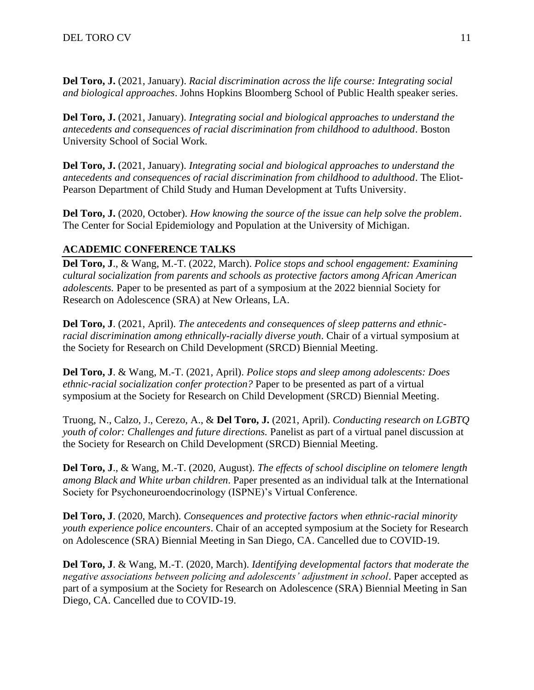**Del Toro, J.** (2021, January). *Racial discrimination across the life course: Integrating social and biological approaches*. Johns Hopkins Bloomberg School of Public Health speaker series.

**Del Toro, J.** (2021, January). *Integrating social and biological approaches to understand the antecedents and consequences of racial discrimination from childhood to adulthood*. Boston University School of Social Work.

**Del Toro, J.** (2021, January). *Integrating social and biological approaches to understand the antecedents and consequences of racial discrimination from childhood to adulthood*. The Eliot-Pearson Department of Child Study and Human Development at Tufts University.

**Del Toro, J.** (2020, October). *How knowing the source of the issue can help solve the problem*. The Center for Social Epidemiology and Population at the University of Michigan.

# **ACADEMIC CONFERENCE TALKS**

**Del Toro, J**., & Wang, M.-T. (2022, March). *Police stops and school engagement: Examining cultural socialization from parents and schools as protective factors among African American adolescents.* Paper to be presented as part of a symposium at the 2022 biennial Society for Research on Adolescence (SRA) at New Orleans, LA.

**Del Toro, J**. (2021, April). *The antecedents and consequences of sleep patterns and ethnicracial discrimination among ethnically-racially diverse youth*. Chair of a virtual symposium at the Society for Research on Child Development (SRCD) Biennial Meeting.

**Del Toro, J**. & Wang, M.-T. (2021, April). *Police stops and sleep among adolescents: Does ethnic-racial socialization confer protection?* Paper to be presented as part of a virtual symposium at the Society for Research on Child Development (SRCD) Biennial Meeting.

Truong, N., Calzo, J., Cerezo, A., & **Del Toro, J.** (2021, April). *Conducting research on LGBTQ youth of color: Challenges and future directions.* Panelist as part of a virtual panel discussion at the Society for Research on Child Development (SRCD) Biennial Meeting.

**Del Toro, J**., & Wang, M.-T. (2020, August). *The effects of school discipline on telomere length among Black and White urban children*. Paper presented as an individual talk at the International Society for Psychoneuroendocrinology (ISPNE)'s Virtual Conference.

**Del Toro, J**. (2020, March). *Consequences and protective factors when ethnic-racial minority youth experience police encounters*. Chair of an accepted symposium at the Society for Research on Adolescence (SRA) Biennial Meeting in San Diego, CA. Cancelled due to COVID-19.

**Del Toro, J**. & Wang, M.-T. (2020, March). *Identifying developmental factors that moderate the negative associations between policing and adolescents' adjustment in school*. Paper accepted as part of a symposium at the Society for Research on Adolescence (SRA) Biennial Meeting in San Diego, CA. Cancelled due to COVID-19.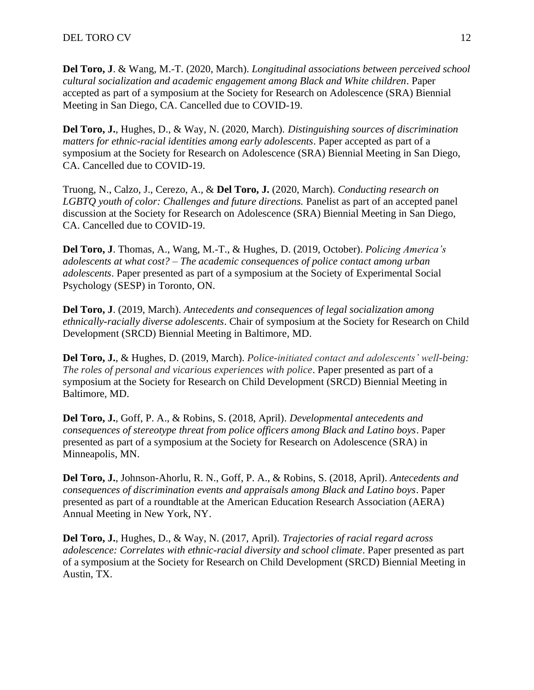**Del Toro, J**. & Wang, M.-T. (2020, March). *Longitudinal associations between perceived school cultural socialization and academic engagement among Black and White children*. Paper accepted as part of a symposium at the Society for Research on Adolescence (SRA) Biennial Meeting in San Diego, CA. Cancelled due to COVID-19.

**Del Toro, J.**, Hughes, D., & Way, N. (2020, March). *Distinguishing sources of discrimination matters for ethnic-racial identities among early adolescents*. Paper accepted as part of a symposium at the Society for Research on Adolescence (SRA) Biennial Meeting in San Diego, CA. Cancelled due to COVID-19.

Truong, N., Calzo, J., Cerezo, A., & **Del Toro, J.** (2020, March). *Conducting research on LGBTQ youth of color: Challenges and future directions.* Panelist as part of an accepted panel discussion at the Society for Research on Adolescence (SRA) Biennial Meeting in San Diego, CA. Cancelled due to COVID-19.

**Del Toro, J**. Thomas, A., Wang, M.-T., & Hughes, D. (2019, October). *Policing America's adolescents at what cost? – The academic consequences of police contact among urban adolescents*. Paper presented as part of a symposium at the Society of Experimental Social Psychology (SESP) in Toronto, ON.

**Del Toro, J**. (2019, March). *Antecedents and consequences of legal socialization among ethnically-racially diverse adolescents*. Chair of symposium at the Society for Research on Child Development (SRCD) Biennial Meeting in Baltimore, MD.

**Del Toro, J.**, & Hughes, D. (2019, March). *Police-initiated contact and adolescents' well-being: The roles of personal and vicarious experiences with police*. Paper presented as part of a symposium at the Society for Research on Child Development (SRCD) Biennial Meeting in Baltimore, MD.

**Del Toro, J.**, Goff, P. A., & Robins, S. (2018, April). *Developmental antecedents and consequences of stereotype threat from police officers among Black and Latino boys*. Paper presented as part of a symposium at the Society for Research on Adolescence (SRA) in Minneapolis, MN.

**Del Toro, J.**, Johnson-Ahorlu, R. N., Goff, P. A., & Robins, S. (2018, April). *Antecedents and consequences of discrimination events and appraisals among Black and Latino boys*. Paper presented as part of a roundtable at the American Education Research Association (AERA) Annual Meeting in New York, NY.

**Del Toro, J.**, Hughes, D., & Way, N. (2017, April). *Trajectories of racial regard across adolescence: Correlates with ethnic-racial diversity and school climate*. Paper presented as part of a symposium at the Society for Research on Child Development (SRCD) Biennial Meeting in Austin, TX.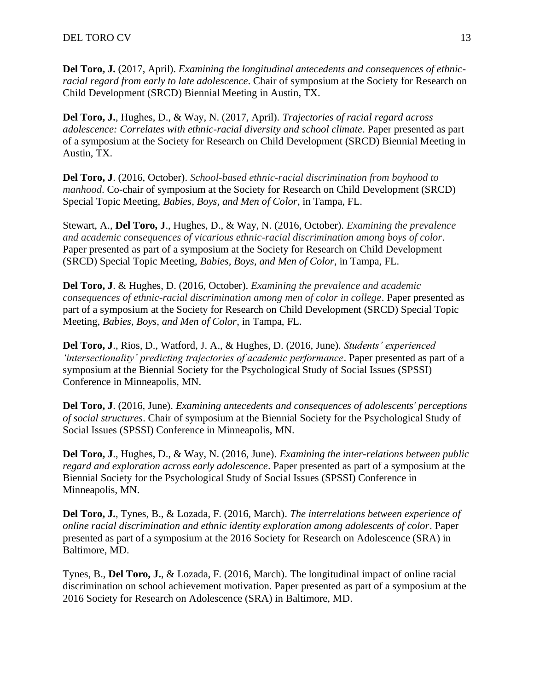**Del Toro, J.** (2017, April). *Examining the longitudinal antecedents and consequences of ethnicracial regard from early to late adolescence*. Chair of symposium at the Society for Research on Child Development (SRCD) Biennial Meeting in Austin, TX.

**Del Toro, J.**, Hughes, D., & Way, N. (2017, April). *Trajectories of racial regard across adolescence: Correlates with ethnic-racial diversity and school climate*. Paper presented as part of a symposium at the Society for Research on Child Development (SRCD) Biennial Meeting in Austin, TX.

**Del Toro, J**. (2016, October). *School-based ethnic-racial discrimination from boyhood to manhood*. Co-chair of symposium at the Society for Research on Child Development (SRCD) Special Topic Meeting, *Babies, Boys, and Men of Color*, in Tampa, FL.

Stewart, A., **Del Toro, J**., Hughes, D., & Way, N. (2016, October). *Examining the prevalence and academic consequences of vicarious ethnic-racial discrimination among boys of color*. Paper presented as part of a symposium at the Society for Research on Child Development (SRCD) Special Topic Meeting, *Babies, Boys, and Men of Color*, in Tampa, FL.

**Del Toro, J**. & Hughes, D. (2016, October). *Examining the prevalence and academic consequences of ethnic-racial discrimination among men of color in college*. Paper presented as part of a symposium at the Society for Research on Child Development (SRCD) Special Topic Meeting, *Babies, Boys, and Men of Color*, in Tampa, FL.

**Del Toro, J**., Rios, D., Watford, J. A., & Hughes, D. (2016, June). *Students' experienced 'intersectionality' predicting trajectories of academic performance*. Paper presented as part of a symposium at the Biennial Society for the Psychological Study of Social Issues (SPSSI) Conference in Minneapolis, MN.

**Del Toro, J**. (2016, June). *Examining antecedents and consequences of adolescents' perceptions of social structures*. Chair of symposium at the Biennial Society for the Psychological Study of Social Issues (SPSSI) Conference in Minneapolis, MN.

**Del Toro, J**., Hughes, D., & Way, N. (2016, June). *Examining the inter-relations between public regard and exploration across early adolescence*. Paper presented as part of a symposium at the Biennial Society for the Psychological Study of Social Issues (SPSSI) Conference in Minneapolis, MN.

**Del Toro, J.**, Tynes, B., & Lozada, F. (2016, March). *The interrelations between experience of online racial discrimination and ethnic identity exploration among adolescents of color*. Paper presented as part of a symposium at the 2016 Society for Research on Adolescence (SRA) in Baltimore, MD.

Tynes, B., **Del Toro, J.**, & Lozada, F. (2016, March). The longitudinal impact of online racial discrimination on school achievement motivation. Paper presented as part of a symposium at the 2016 Society for Research on Adolescence (SRA) in Baltimore, MD.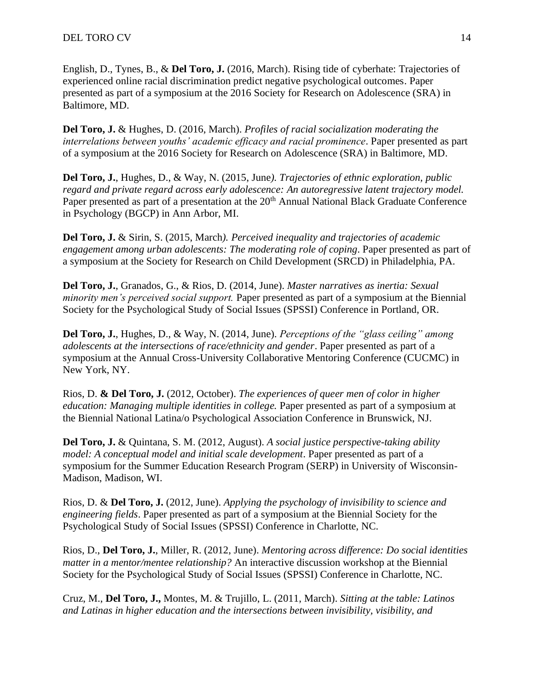English, D., Tynes, B., & **Del Toro, J.** (2016, March). Rising tide of cyberhate: Trajectories of experienced online racial discrimination predict negative psychological outcomes. Paper presented as part of a symposium at the 2016 Society for Research on Adolescence (SRA) in Baltimore, MD.

**Del Toro, J.** & Hughes, D. (2016, March). *Profiles of racial socialization moderating the interrelations between youths' academic efficacy and racial prominence*. Paper presented as part of a symposium at the 2016 Society for Research on Adolescence (SRA) in Baltimore, MD.

**Del Toro, J.**, Hughes, D., & Way, N. (2015, June*). Trajectories of ethnic exploration, public regard and private regard across early adolescence: An autoregressive latent trajectory model.* Paper presented as part of a presentation at the 20<sup>th</sup> Annual National Black Graduate Conference in Psychology (BGCP) in Ann Arbor, MI.

**Del Toro, J.** & Sirin, S. (2015, March*). Perceived inequality and trajectories of academic engagement among urban adolescents: The moderating role of coping*. Paper presented as part of a symposium at the Society for Research on Child Development (SRCD) in Philadelphia, PA.

**Del Toro, J.**, Granados, G., & Rios, D. (2014, June). *Master narratives as inertia: Sexual minority men's perceived social support.* Paper presented as part of a symposium at the Biennial Society for the Psychological Study of Social Issues (SPSSI) Conference in Portland, OR.

**Del Toro, J.**, Hughes, D., & Way, N. (2014, June). *Perceptions of the "glass ceiling" among adolescents at the intersections of race/ethnicity and gender*. Paper presented as part of a symposium at the Annual Cross-University Collaborative Mentoring Conference (CUCMC) in New York, NY.

Rios, D. **& Del Toro, J.** (2012, October). *The experiences of queer men of color in higher education: Managing multiple identities in college.* Paper presented as part of a symposium at the Biennial National Latina/o Psychological Association Conference in Brunswick, NJ.

**Del Toro, J.** & Quintana, S. M. (2012, August). *A social justice perspective-taking ability model: A conceptual model and initial scale development*. Paper presented as part of a symposium for the Summer Education Research Program (SERP) in University of Wisconsin-Madison, Madison, WI.

Rios, D. & **Del Toro, J.** (2012, June). *Applying the psychology of invisibility to science and engineering fields*. Paper presented as part of a symposium at the Biennial Society for the Psychological Study of Social Issues (SPSSI) Conference in Charlotte, NC.

Rios, D., **Del Toro, J.**, Miller, R. (2012, June). *Mentoring across difference: Do social identities matter in a mentor/mentee relationship?* An interactive discussion workshop at the Biennial Society for the Psychological Study of Social Issues (SPSSI) Conference in Charlotte, NC.

Cruz, M., **Del Toro, J.,** Montes, M. & Trujillo, L. (2011, March). *Sitting at the table: Latinos and Latinas in higher education and the intersections between invisibility, visibility, and*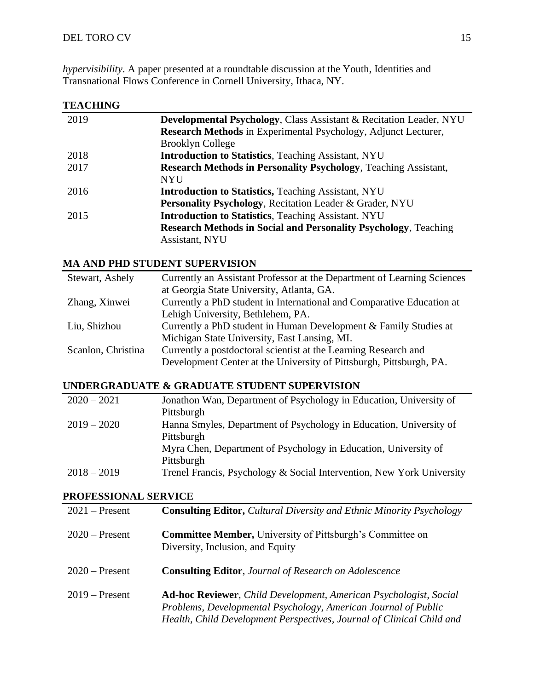*hypervisibility*. A paper presented at a roundtable discussion at the Youth, Identities and Transnational Flows Conference in Cornell University, Ithaca, NY.

# **TEACHING**

| 2019 | Developmental Psychology, Class Assistant & Recitation Leader, NYU      |
|------|-------------------------------------------------------------------------|
|      | Research Methods in Experimental Psychology, Adjunct Lecturer,          |
|      | <b>Brooklyn College</b>                                                 |
| 2018 | <b>Introduction to Statistics</b> , Teaching Assistant, NYU             |
| 2017 | <b>Research Methods in Personality Psychology</b> , Teaching Assistant, |
|      | <b>NYU</b>                                                              |
| 2016 | <b>Introduction to Statistics, Teaching Assistant, NYU</b>              |
|      | Personality Psychology, Recitation Leader & Grader, NYU                 |
| 2015 | <b>Introduction to Statistics</b> , Teaching Assistant. NYU             |
|      | <b>Research Methods in Social and Personality Psychology</b> , Teaching |
|      | Assistant, NYU                                                          |
|      |                                                                         |

## **MA AND PHD STUDENT SUPERVISION**

| Stewart, Ashely    | Currently an Assistant Professor at the Department of Learning Sciences |
|--------------------|-------------------------------------------------------------------------|
|                    | at Georgia State University, Atlanta, GA.                               |
| Zhang, Xinwei      | Currently a PhD student in International and Comparative Education at   |
|                    | Lehigh University, Bethlehem, PA.                                       |
| Liu, Shizhou       | Currently a PhD student in Human Development & Family Studies at        |
|                    | Michigan State University, East Lansing, MI.                            |
| Scanlon, Christina | Currently a postdoctoral scientist at the Learning Research and         |
|                    | Development Center at the University of Pittsburgh, Pittsburgh, PA.     |

# **UNDERGRADUATE & GRADUATE STUDENT SUPERVISION**

| $2020 - 2021$ | Jonathon Wan, Department of Psychology in Education, University of    |
|---------------|-----------------------------------------------------------------------|
|               | Pittsburgh                                                            |
| $2019 - 2020$ | Hanna Smyles, Department of Psychology in Education, University of    |
|               | Pittsburgh                                                            |
|               | Myra Chen, Department of Psychology in Education, University of       |
|               | Pittsburgh                                                            |
| $2018 - 2019$ | Trenel Francis, Psychology & Social Intervention, New York University |

# **PROFESSIONAL SERVICE**

| $2021$ – Present | <b>Consulting Editor, Cultural Diversity and Ethnic Minority Psychology</b>                                                                                                                                          |
|------------------|----------------------------------------------------------------------------------------------------------------------------------------------------------------------------------------------------------------------|
| $2020$ – Present | <b>Committee Member, University of Pittsburgh's Committee on</b><br>Diversity, Inclusion, and Equity                                                                                                                 |
| $2020$ – Present | <b>Consulting Editor, Journal of Research on Adolescence</b>                                                                                                                                                         |
| $2019$ – Present | <b>Ad-hoc Reviewer</b> , Child Development, American Psychologist, Social<br>Problems, Developmental Psychology, American Journal of Public<br>Health, Child Development Perspectives, Journal of Clinical Child and |